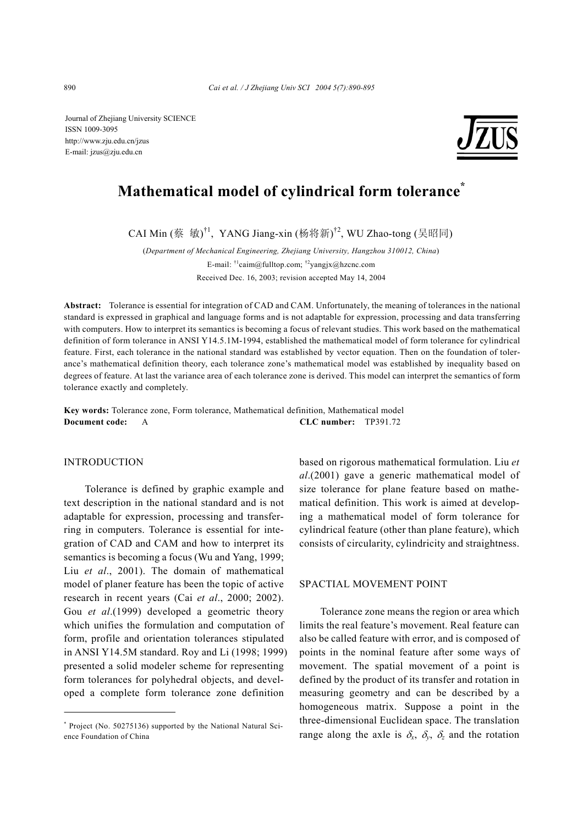Journal of Zhejiang University SCIENCE ISSN 1009-3095 http://www.zju.edu.cn/jzus E-mail: jzus@zju.edu.cn



# **Mathematical model of cylindrical form tolerance\***

CAI Min (蔡 敏)<sup>†1</sup>, YANG Jiang-xin (杨将新)<sup>†2</sup>, WU Zhao-tong (吴昭同)

(*Department of Mechanical Engineering, Zhejiang University, Hangzhou 310012, China*) E-mail:  $\frac{1}{2}$ caim@fulltop.com;  $\frac{1}{2}$ yangjx@hzcnc.com Received Dec. 16, 2003; revision accepted May 14, 2004

**Abstract:** Tolerance is essential for integration of CAD and CAM. Unfortunately, the meaning of tolerances in the national standard is expressed in graphical and language forms and is not adaptable for expression, processing and data transferring with computers. How to interpret its semantics is becoming a focus of relevant studies. This work based on the mathematical definition of form tolerance in ANSI Y14.5.1M-1994, established the mathematical model of form tolerance for cylindrical feature. First, each tolerance in the national standard was established by vector equation. Then on the foundation of tolerance's mathematical definition theory, each tolerance zone's mathematical model was established by inequality based on degrees of feature. At last the variance area of each tolerance zone is derived. This model can interpret the semantics of form tolerance exactly and completely.

**Key words:** Tolerance zone, Form tolerance, Mathematical definition, Mathematical model **Document code:** A **CLC number:** TP391.72

## INTRODUCTION

Tolerance is defined by graphic example and text description in the national standard and is not adaptable for expression, processing and transferring in computers. Tolerance is essential for integration of CAD and CAM and how to interpret its semantics is becoming a focus (Wu and Yang, 1999; Liu *et al*., 2001). The domain of mathematical model of planer feature has been the topic of active research in recent years (Cai *et al*., 2000; 2002). Gou *et al*.(1999) developed a geometric theory which unifies the formulation and computation of form, profile and orientation tolerances stipulated in ANSI Y14.5M standard. Roy and Li (1998; 1999) presented a solid modeler scheme for representing form tolerances for polyhedral objects, and developed a complete form tolerance zone definition

based on rigorous mathematical formulation. Liu *et al*.(2001) gave a generic mathematical model of size tolerance for plane feature based on mathematical definition. This work is aimed at developing a mathematical model of form tolerance for cylindrical feature (other than plane feature), which consists of circularity, cylindricity and straightness.

#### SPACTIAL MOVEMENT POINT

Tolerance zone means the region or area which limits the real feature's movement. Real feature can also be called feature with error, and is composed of points in the nominal feature after some ways of movement. The spatial movement of a point is defined by the product of its transfer and rotation in measuring geometry and can be described by a homogeneous matrix. Suppose a point in the three-dimensional Euclidean space. The translation range along the axle is  $\delta_x$ ,  $\delta_y$ ,  $\delta_z$  and the rotation

<sup>\*</sup> Project (No. 50275136) supported by the National Natural Science Foundation of China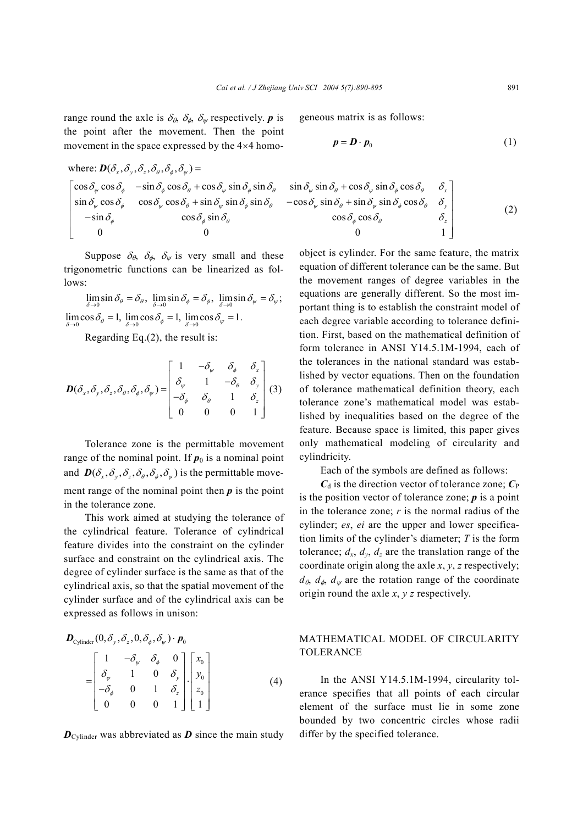range round the axle is  $\delta_{\theta}$ ,  $\delta_{\phi}$ ,  $\delta_{\psi}$  respectively. *p* is the point after the movement. Then the point movement in the space expressed by the 4×4 homo-

where: 
$$
\mathbf{D}(\delta_x, \delta_y, \delta_z, \delta_\theta, \delta_\psi) =
$$
  
\n
$$
\begin{bmatrix}\n\cos \delta_\psi \cos \delta_\phi & -\sin \delta_\phi \cos \delta_\theta + \cos \delta_\psi \sin \delta_\phi \sin \delta_\theta & \sin \delta_\psi \sin \delta_\theta + \cos \delta_\psi \sin \delta_\phi \cos \delta_\theta & \delta_x \\
\sin \delta_\psi \cos \delta_\phi & \cos \delta_\psi \cos \delta_\theta + \sin \delta_\psi \sin \delta_\phi \sin \delta_\theta & -\cos \delta_\psi \sin \delta_\theta + \sin \delta_\psi \sin \delta_\phi \cos \delta_\theta & \delta_y \\
-\sin \delta_\phi & \cos \delta_\phi \sin \delta_\theta & \cos \delta_\phi \cos \delta_\theta & \delta_z \\
0 & 0 & 1\n\end{bmatrix}
$$

Suppose  $\delta_{\theta}$ ,  $\delta_{\phi}$ ,  $\delta_{\psi}$  is very small and these trigonometric functions can be linearized as follows:

 $\lim_{\delta \to 0} \sin \delta_{\theta} = \delta_{\theta}, \ \lim_{\delta \to 0} \sin \delta_{\phi} = \delta_{\phi}, \ \lim_{\delta \to 0} \sin \delta_{\psi} = \delta_{\psi};$  $\lim_{\delta \to 0} \cos \delta_{\theta} = 1$ ,  $\lim_{\delta \to 0} \cos \delta_{\phi} = 1$ ,  $\lim_{\delta \to 0} \cos \delta_{\psi} = 1$ .

Regarding Eq.(2), the result is:

$$
\boldsymbol{D}(\delta_x, \delta_y, \delta_z, \delta_\theta, \delta_\phi, \delta_\psi) = \begin{bmatrix} 1 & -\delta_\psi & \delta_\phi & \delta_x \\ \delta_\psi & 1 & -\delta_\theta & \delta_y \\ -\delta_\phi & \delta_\theta & 1 & \delta_z \\ 0 & 0 & 0 & 1 \end{bmatrix} (3)
$$

Tolerance zone is the permittable movement range of the nominal point. If  $p_0$  is a nominal point and  $\mathbf{D}(\delta_{x}, \delta_{y}, \delta_{z}, \delta_{\theta}, \delta_{z}, \delta_{w})$  is the permittable movement range of the nominal point then *p* is the point in the tolerance zone.

This work aimed at studying the tolerance of the cylindrical feature. Tolerance of cylindrical feature divides into the constraint on the cylinder surface and constraint on the cylindrical axis. The degree of cylinder surface is the same as that of the cylindrical axis, so that the spatial movement of the cylinder surface and of the cylindrical axis can be expressed as follows in unison:

$$
\boldsymbol{D}_{\text{Cylinder}}(0, \delta_y, \delta_z, 0, \delta_\phi, \delta_\psi) \cdot \boldsymbol{p}_0
$$
\n
$$
= \begin{bmatrix} 1 & -\delta_\psi & \delta_\phi & 0 \\ \delta_\psi & 1 & 0 & \delta_y \\ -\delta_\phi & 0 & 1 & \delta_z \\ 0 & 0 & 0 & 1 \end{bmatrix} \begin{bmatrix} x_0 \\ y_0 \\ z_0 \\ z_1 \end{bmatrix}
$$
\n(4)

 $D_{\text{Cylinder}}$  was abbreviated as  $D$  since the main study

geneous matrix is as follows:

$$
p = D \cdot p_0 \tag{1}
$$

$$
\begin{aligned}\n\sin \delta_{\psi} \sin \delta_{\theta} + \cos \delta_{\psi} \sin \delta_{\phi} \cos \delta_{\theta} & \delta_{x} \\
\cos \delta_{\psi} \sin \delta_{\theta} + \sin \delta_{\psi} \sin \delta_{\phi} \cos \delta_{\theta} & \delta_{y} \\
\cos \delta_{\phi} \cos \delta_{\theta} & \delta_{z} \\
0 & 1\n\end{aligned}
$$
\n(2)

object is cylinder. For the same feature, the matrix equation of different tolerance can be the same. But the movement ranges of degree variables in the equations are generally different. So the most important thing is to establish the constraint model of each degree variable according to tolerance definition. First, based on the mathematical definition of form tolerance in ANSI Y14.5.1M-1994, each of the tolerances in the national standard was established by vector equations. Then on the foundation of tolerance mathematical definition theory, each tolerance zone's mathematical model was established by inequalities based on the degree of the feature. Because space is limited, this paper gives only mathematical modeling of circularity and cylindricity.

Each of the symbols are defined as follows:

 $C_d$  is the direction vector of tolerance zone;  $C_P$ is the position vector of tolerance zone;  $\boldsymbol{p}$  is a point in the tolerance zone; *r* is the normal radius of the cylinder; *es*, *ei* are the upper and lower specification limits of the cylinder's diameter; *T* is the form tolerance;  $d_x$ ,  $d_y$ ,  $d_z$  are the translation range of the coordinate origin along the axle *x*, *y*, *z* respectively;  $d_{\theta}$ ,  $d_{\phi}$ ,  $d_{\psi}$  are the rotation range of the coordinate origin round the axle *x*, *y z* respectively.

## MATHEMATICAL MODEL OF CIRCULARITY TOLERANCE

In the ANSI Y14.5.1M-1994, circularity tolerance specifies that all points of each circular element of the surface must lie in some zone bounded by two concentric circles whose radii differ by the specified tolerance.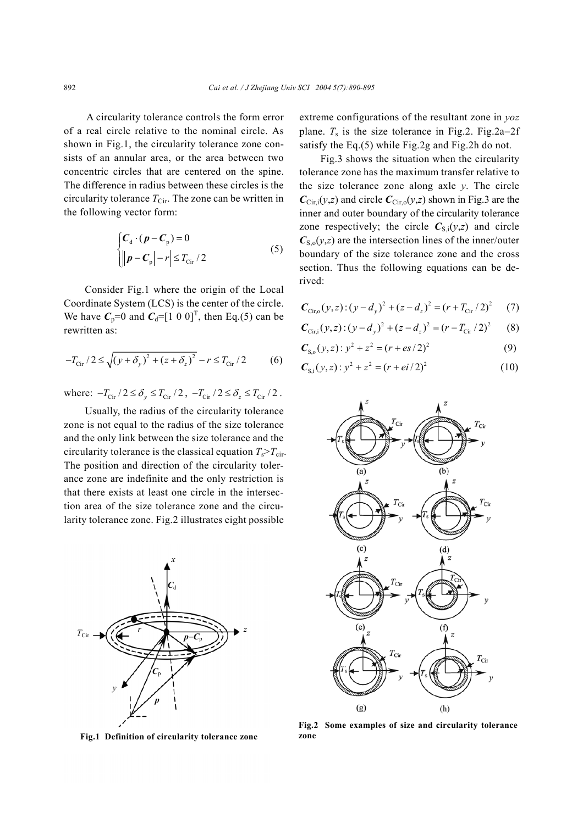A circularity tolerance controls the form error of a real circle relative to the nominal circle. As shown in Fig.1, the circularity tolerance zone consists of an annular area, or the area between two concentric circles that are centered on the spine. The difference in radius between these circles is the circularity tolerance  $T_{\text{Cir}}$ . The zone can be written in the following vector form:

$$
\begin{cases}\nC_{\rm d} \cdot (\boldsymbol{p} - \boldsymbol{C}_{\rm p}) = 0 \\
\|\boldsymbol{p} - \boldsymbol{C}_{\rm p}\| - r\| \le T_{\rm Cir}/2\n\end{cases} \tag{5}
$$

Consider Fig.1 where the origin of the Local Coordinate System (LCS) is the center of the circle. We have  $C_p=0$  and  $C_d=[1\ 0\ 0]^T$ , then Eq.(5) can be rewritten as:

$$
-T_{\text{Cir}}/2 \le \sqrt{(y+\delta_y)^2 + (z+\delta_z)^2} - r \le T_{\text{Cir}}/2 \tag{6}
$$

where:  $-T_{\text{cir}} / 2 \le \delta_v \le T_{\text{cir}} / 2$ ,  $-T_{\text{cir}} / 2 \le \delta_z \le T_{\text{cir}} / 2$ .

Usually, the radius of the circularity tolerance zone is not equal to the radius of the size tolerance and the only link between the size tolerance and the circularity tolerance is the classical equation  $T_s > T_{\text{cir}}$ . The position and direction of the circularity tolerance zone are indefinite and the only restriction is that there exists at least one circle in the intersection area of the size tolerance zone and the circularity tolerance zone. Fig.2 illustrates eight possible



**Fig.1 Definition of circularity tolerance zone** 

extreme configurations of the resultant zone in *yoz*  plane.  $T_s$  is the size tolerance in Fig.2. Fig.2a–2f satisfy the Eq.(5) while Fig.2g and Fig.2h do not.

Fig.3 shows the situation when the circularity tolerance zone has the maximum transfer relative to the size tolerance zone along axle *y*. The circle  $C_{\text{Cir},i}(y, z)$  and circle  $C_{\text{Cir},0}(y, z)$  shown in Fig.3 are the inner and outer boundary of the circularity tolerance zone respectively; the circle  $C_{S,i}(y,z)$  and circle  $C_{S,0}(y,z)$  are the intersection lines of the inner/outer boundary of the size tolerance zone and the cross section. Thus the following equations can be derived:

$$
C_{\text{Cir},0}(y,z) : (y - d_y)^2 + (z - d_z)^2 = (r + T_{\text{Cir}}/2)^2 \tag{7}
$$

$$
C_{\text{Cir,}i}(y, z) : (y - d_y)^2 + (z - d_z)^2 = (r - T_{\text{Cir}} / 2)^2 \qquad (8)
$$

$$
C_{S,0}(y,z): y^2 + z^2 = (r + es/2)^2
$$
 (9)

$$
C_{\rm S,i}(y,z): y^2 + z^2 = (r + ei/2)^2 \tag{10}
$$



**Fig.2 Some examples of size and circularity tolerance zone**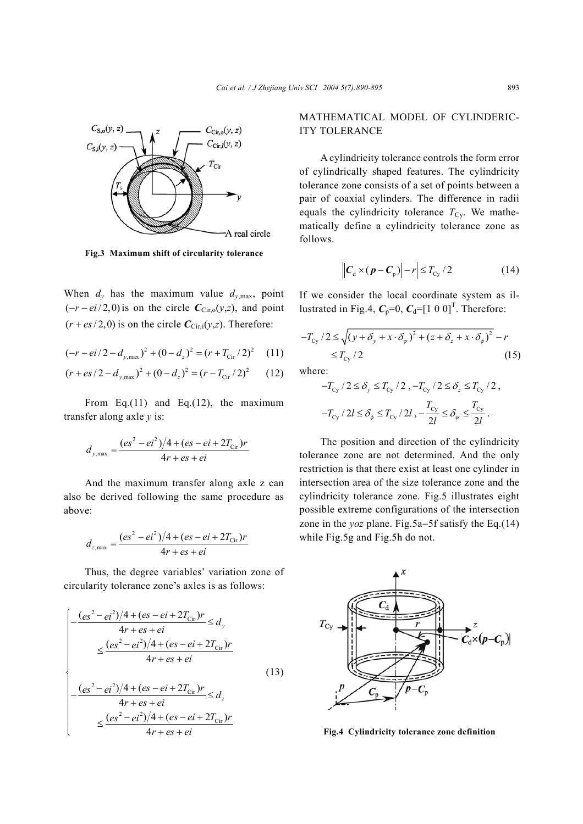

**Fig.3 Maximum shift of circularity tolerance** 

When  $d_y$  has the maximum value  $d_{y,\text{max}}$ , point  $(-r - ei/2,0)$  is on the circle  $C_{\text{Cir},0}(y,z)$ , and point  $(r + es/2,0)$  is on the circle  $C_{\text{Cir},i}(y,z)$ . Therefore:

$$
(-r - ei/2 - d_{y, \text{max}})^{2} + (0 - d_{z})^{2} = (r + T_{\text{cir}}/2)^{2} \quad (11)
$$

$$
(r + es/2 - d_{y, \text{max}})^2 + (0 - d_z)^2 = (r - T_{\text{cir}}/2)^2 \qquad (12)
$$

From Eq.(11) and Eq.(12), the maximum transfer along axle *y* is:

$$
d_{y,\text{max}} = \frac{(es^2 - ei^2)/4 + (es - ei + 2T_{\text{cir}})r}{4r + es + ei}
$$

And the maximum transfer along axle z can also be derived following the same procedure as above:

$$
d_{z,\text{max}} = \frac{(es^2 - ei^2)/4 + (es - ei + 2T_{\text{Cir}})r}{4r + es + ei}
$$

Thus, the degree variables' variation zone of circularity tolerance zone's axles is as follows:

$$
\begin{cases}\n-\frac{(es^2 - ei^2)/4 + (es - ei + 2T_{\text{cir}})r}{4r + es + ei} \le d_y \\
\le \frac{(es^2 - ei^2)/4 + (es - ei + 2T_{\text{cir}})r}{4r + es + ei} \\
-\frac{(es^2 - ei^2)/4 + (es - ei + 2T_{\text{cir}})r}{4r + es + ei} \le d_z \\
\le \frac{(es^2 - ei^2)/4 + (es - ei + 2T_{\text{cir}})r}{4r + es + ei} \\
4r + es + ei\n\end{cases}
$$
\n(13)

## MATHEMATICAL MODEL OF CYLINDERIC-ITY TOLERANCE

A cylindricity tolerance controls the form error of cylindrically shaped features. The cylindricity tolerance zone consists of a set of points between a pair of coaxial cylinders. The difference in radii equals the cylindricity tolerance  $T_{\text{Cy}}$ . We mathematically define a cylindricity tolerance zone as follows.

$$
\left| \left| \boldsymbol{C}_{\mathrm{d}} \times (\boldsymbol{p} - \boldsymbol{C}_{\mathrm{p}}) \right| - r \right| \leq T_{\mathrm{Cy}} / 2 \tag{14}
$$

If we consider the local coordinate system as illustrated in Fig.4,  $C_p=0$ ,  $C_d=[1\ 0\ 0]^T$ . Therefore:

$$
-T_{\text{cy}}/2 \le \sqrt{(y+\delta_y+x\cdot\delta_\psi)^2 + (z+\delta_z+x\cdot\delta_\phi)^2} - r
$$
  
 
$$
\le T_{\text{cy}}/2 \tag{15}
$$

where:

$$
-T_{\rm Cy}/2 \le \delta_y \le T_{\rm Cy}/2 \, , -T_{\rm Cy}/2 \le \delta_z \le T_{\rm cy}/2 \, ,
$$
  

$$
-T_{\rm cy}/2l \le \delta_{\phi} \le T_{\rm cy}/2l \, , -\frac{T_{\rm Cy}}{2l} \le \delta_{\psi} \le \frac{T_{\rm cy}}{2l} \, .
$$

The position and direction of the cylindricity tolerance zone are not determined. And the only restriction is that there exist at least one cylinder in intersection area of the size tolerance zone and the cylindricity tolerance zone. Fig.5 illustrates eight possible extreme configurations of the intersection zone in the *yoz* plane. Fig.5a−5f satisfy the Eq.(14) while Fig.5g and Fig.5h do not.



**Fig.4 Cylindricity tolerance zone definition**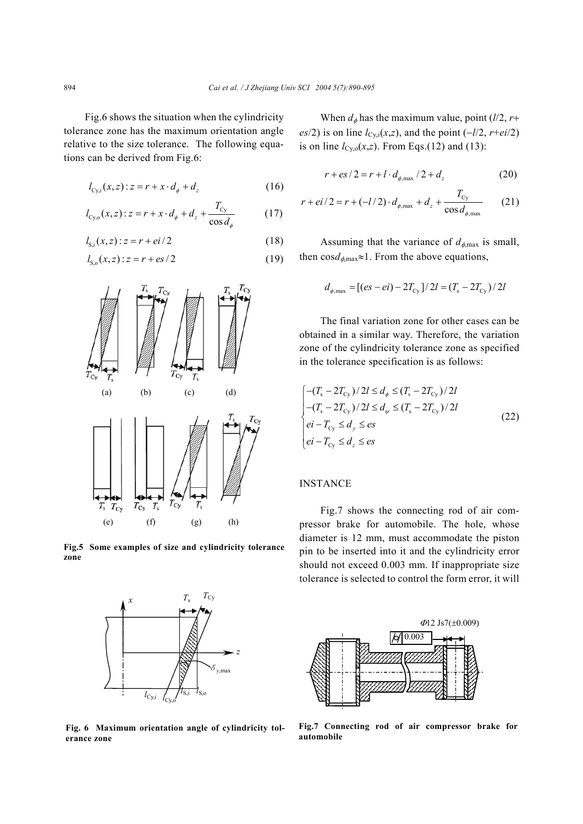Fig.6 shows the situation when the cylindricity tolerance zone has the maximum orientation angle relative to the size tolerance. The following equations can be derived from Fig.6:

 $l_{\text{Cvi}}(x, z): z = r + x \cdot d_{\phi} + d_{z}$  (16)

$$
l_{\text{Cy,o}}(x,z): z = r + x \cdot d_{\phi} + d_{z} + \frac{T_{\text{Cy}}}{\cos d_{\phi}} \tag{17}
$$

$$
l_{S,i}(x, z) : z = r + ei/2 \tag{18}
$$

$$
l_{S,0}(x,z):z = r + es/2
$$
 (19)



**Fig.5 Some examples of size and cylindricity tolerance zone** 



**Fig. 6 Maximum orientation angle of cylindricity tolerance zone** 

When  $d_{\phi}$  has the maximum value, point ( $l/2$ ,  $r+$  $e$ <sup>*es*</sup>/2) is on line *l*<sub>Cy,i</sub>(*x*,*z*), and the point (−*l*/2, *r*+*ei*/2) is on line  $l_{Cy,0}(x,z)$ . From Eqs.(12) and (13):

$$
r + es/2 = r + l \cdot d_{\phi, \text{max}} / 2 + d_z
$$
 (20)

$$
r + ei/2 = r + (-l/2) \cdot d_{\phi, \text{max}} + d_z + \frac{T_{\text{Cy}}}{\cos d_{\phi, \text{max}}} \qquad (21)
$$

Assuming that the variance of  $d_{\phi,\text{max}}$  is small, then cos $d_{\phi,\text{max}} \approx 1$ . From the above equations,

$$
d_{\phi, \text{max}} = [(es - ei) - 2T_{\text{cy}}]/2l = (T_s - 2T_{\text{cy}})/2l
$$

The final variation zone for other cases can be obtained in a similar way. Therefore, the variation zone of the cylindricity tolerance zone as specified in the tolerance specification is as follows:

$$
\begin{cases}\n-(T_s - 2T_{\text{Cy}})/2l \le d_\phi \le (T_s - 2T_{\text{Cy}})/2l \\
-(T_s - 2T_{\text{Cy}})/2l \le d_\psi \le (T_s - 2T_{\text{Cy}})/2l \\
ei - T_{\text{Cy}} \le d_y \le es \\
ei - T_{\text{Cy}} \le d_z \le es\n\end{cases}
$$
\n(22)

## INSTANCE

Fig.7 shows the connecting rod of air compressor brake for automobile. The hole, whose diameter is 12 mm, must accommodate the piston pin to be inserted into it and the cylindricity error should not exceed 0.003 mm. If inappropriate size tolerance is selected to control the form error, it will



**Fig.7 Connecting rod of air compressor brake for automobile**